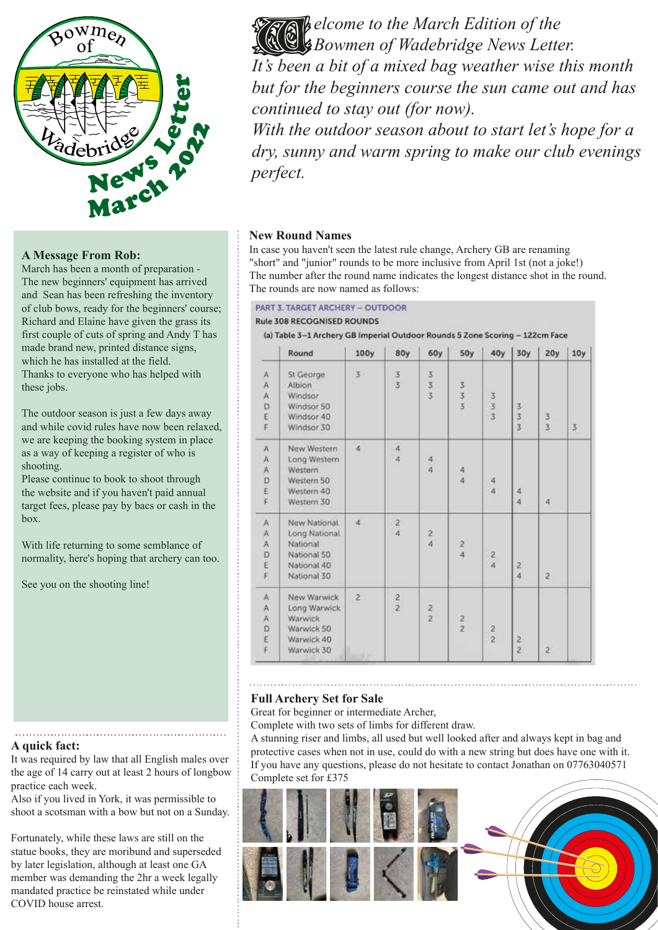

# **A Message From Rob:**

March has been a month of preparation - The new beginners' equipment has arrived and Sean has been refreshing the inventory of club bows, ready for the beginners' course; Richard and Elaine have given the grass its first couple of cuts of spring and Andy T has made brand new, printed distance signs, which he has installed at the field. Thanks to everyone who has helped with these jobs.

The outdoor season is just a few days away and while covid rules have now been relaxed, we are keeping the booking system in place as a way of keeping a register of who is shooting.

Please continue to book to shoot through the website and if you haven't paid annual target fees, please pay by bacs or cash in the box.

With life returning to some semblance of normality, here's hoping that archery can too.

See you on the shooting line!

## **A quick fact:**

It was required by law that all English males over the age of 14 carry out at least 2 hours of longbow practice each week.

Also if you lived in York, it was permissible to shoot a scotsman with a bow but not on a Sunday.

Fortunately, while these laws are still on the statue books, they are moribund and superseded by later legislation, although at least one GA member was demanding the 2hr a week legally mandated practice be reinstated while under COVID house arrest.

*elcome to the March Edition of the Bowmen of Wadebridge News Letter. It's been a bit of a mixed bag weather wise this month but for the beginners course the sun came out and has continued to stay out (for now).* THE

*With the outdoor season about to start let's hope for a dry, sunny and warm spring to make our club evenings perfect.*

# **New Round Names**

In case you haven't seen the latest rule change, Archery GB are renaming "short" and "junior" rounds to be more inclusive from April 1st (not a joke!) The number after the round name indicates the longest distance shot in the round. The rounds are now named as follows:

#### **PART 3. TARGET ARCHERY - OUTDOOR**

#### **Rule 308 RECOGNISED ROUNDS**

(a) Table 3-1 Archery GB Imperial Outdoor Rounds 5 Zone Scoring - 122cm Face

|                | Round                                                                                  | 100y                              | 80y                                   | 60y                                  | <b>50y</b>    | 40y           | 30y                 | 20y            | 10y            |
|----------------|----------------------------------------------------------------------------------------|-----------------------------------|---------------------------------------|--------------------------------------|---------------|---------------|---------------------|----------------|----------------|
| Ä<br>AADE<br>F | St George<br>Albion<br>Windsor<br>Windsor 50<br>Windsor 40<br>Windsor 30               | 3                                 | $\frac{3}{3}$                         | 333                                  | 333           | $\frac{3}{3}$ | 3<br>$\frac{3}{3}$  | 3<br>3         | $\overline{3}$ |
| AAADE<br>F.    | New Western<br>Long Western<br>Western<br>Western 50<br>Western 40<br>Western 30       | $\overline{4}$                    | $\begin{array}{c} 4 \\ 4 \end{array}$ | $\overline{\bf 4}$<br>$\overline{4}$ | $\frac{4}{4}$ | $\frac{4}{4}$ | 4<br>$\overline{4}$ | $\overline{4}$ |                |
| AAADEF         | New National<br>Long National<br>National<br>National 50<br>National 40<br>National 30 | 4                                 | $\mathbf{2}$<br>$\overline{4}$        | $\overline{c}$<br>$\ddot{4}$         | $\frac{2}{4}$ | $\frac{2}{4}$ | $\frac{2}{4}$       | $\overline{c}$ |                |
| A<br>AADEF     | New Warwick<br>Long Warwick<br>Warwick<br>Warwick 50<br>Warwick 40<br>Warwick 30       | $\overline{2}$<br>$41.15 - 10.00$ | $\frac{2}{2}$                         | $\frac{2}{2}$                        | $\frac{2}{2}$ | $\frac{2}{2}$ | $\frac{2}{2}$       | $\overline{a}$ |                |

# **Full Archery Set for Sale**

Great for beginner or intermediate Archer,

Complete with two sets of limbs for different draw.

A stunning riser and limbs, all used but well looked after and always kept in bag and protective cases when not in use, could do with a new string but does have one with it. If you have any questions, please do not hesitate to contact Jonathan on 07763040571 Complete set for £375

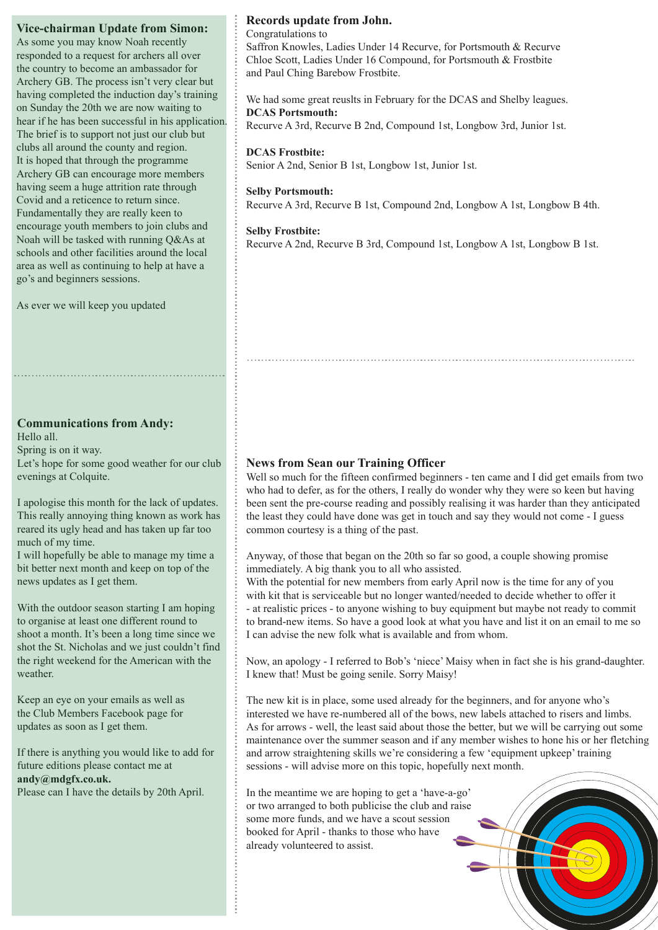## **Vice-chairman Update from Simon:**

As some you may know Noah recently responded to a request for archers all over the country to become an ambassador for Archery GB. The process isn't very clear but having completed the induction day's training on Sunday the 20th we are now waiting to hear if he has been successful in his application. The brief is to support not just our club but clubs all around the county and region. It is hoped that through the programme Archery GB can encourage more members having seem a huge attrition rate through Covid and a reticence to return since. Fundamentally they are really keen to encourage youth members to join clubs and Noah will be tasked with running Q&As at schools and other facilities around the local area as well as continuing to help at have a go's and beginners sessions.

As ever we will keep you updated

# **Communications from Andy:**

Hello all. Spring is on it way. Let's hope for some good weather for our club evenings at Colquite.

I apologise this month for the lack of updates. This really annoying thing known as work has reared its ugly head and has taken up far too much of my time.

I will hopefully be able to manage my time a bit better next month and keep on top of the news updates as I get them.

With the outdoor season starting I am hoping to organise at least one different round to shoot a month. It's been a long time since we shot the St. Nicholas and we just couldn't find the right weekend for the American with the weather.

Keep an eye on your emails as well as the Club Members Facebook page for updates as soon as I get them.

If there is anything you would like to add for future editions please contact me at **andy@mdgfx.co.uk.**

Please can I have the details by 20th April.

## **Records update from John.**

Congratulations to

Saffron Knowles, Ladies Under 14 Recurve, for Portsmouth & Recurve Chloe Scott, Ladies Under 16 Compound, for Portsmouth & Frostbite and Paul Ching Barebow Frostbite.

We had some great reuslts in February for the DCAS and Shelby leagues. **DCAS Portsmouth:**

Recurve A 3rd, Recurve B 2nd, Compound 1st, Longbow 3rd, Junior 1st.

#### **DCAS Frostbite:**

Senior A 2nd, Senior B 1st, Longbow 1st, Junior 1st.

#### **Selby Portsmouth:**

Recurve A 3rd, Recurve B 1st, Compound 2nd, Longbow A 1st, Longbow B 4th.

#### **Selby Frostbite:**

Recurve A 2nd, Recurve B 3rd, Compound 1st, Longbow A 1st, Longbow B 1st.

# **News from Sean our Training Officer**

Well so much for the fifteen confirmed beginners - ten came and I did get emails from two who had to defer, as for the others, I really do wonder why they were so keen but having been sent the pre-course reading and possibly realising it was harder than they anticipated the least they could have done was get in touch and say they would not come - I guess common courtesy is a thing of the past.

Anyway, of those that began on the 20th so far so good, a couple showing promise immediately. A big thank you to all who assisted.

With the potential for new members from early April now is the time for any of you with kit that is serviceable but no longer wanted/needed to decide whether to offer it - at realistic prices - to anyone wishing to buy equipment but maybe not ready to commit to brand-new items. So have a good look at what you have and list it on an email to me so I can advise the new folk what is available and from whom.

Now, an apology - I referred to Bob's 'niece' Maisy when in fact she is his grand-daughter. I knew that! Must be going senile. Sorry Maisy!

The new kit is in place, some used already for the beginners, and for anyone who's interested we have re-numbered all of the bows, new labels attached to risers and limbs. As for arrows - well, the least said about those the better, but we will be carrying out some maintenance over the summer season and if any member wishes to hone his or her fletching and arrow straightening skills we're considering a few 'equipment upkeep' training sessions - will advise more on this topic, hopefully next month.

In the meantime we are hoping to get a 'have-a-go' or two arranged to both publicise the club and raise some more funds, and we have a scout session booked for April - thanks to those who have already volunteered to assist.